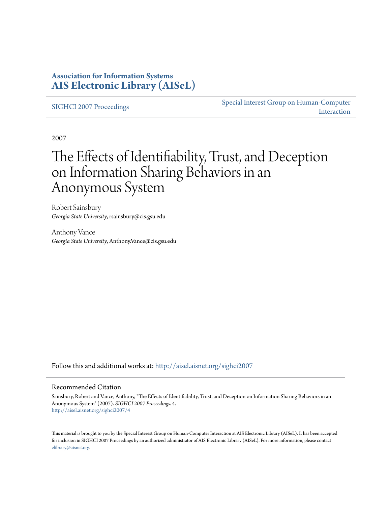### **Association for Information Systems [AIS Electronic Library \(AISeL\)](http://aisel.aisnet.org?utm_source=aisel.aisnet.org%2Fsighci2007%2F4&utm_medium=PDF&utm_campaign=PDFCoverPages)**

[SIGHCI 2007 Proceedings](http://aisel.aisnet.org/sighci2007?utm_source=aisel.aisnet.org%2Fsighci2007%2F4&utm_medium=PDF&utm_campaign=PDFCoverPages)

[Special Interest Group on Human-Computer](http://aisel.aisnet.org/sighci?utm_source=aisel.aisnet.org%2Fsighci2007%2F4&utm_medium=PDF&utm_campaign=PDFCoverPages) [Interaction](http://aisel.aisnet.org/sighci?utm_source=aisel.aisnet.org%2Fsighci2007%2F4&utm_medium=PDF&utm_campaign=PDFCoverPages)

2007

# The Effects of Identifiability, Trust, and Deception on Information Sharing Behaviors in an Anonymous System

Robert Sainsbury *Georgia State University*, rsainsbury@cis.gsu.edu

Anthony Vance *Georgia State University*, Anthony.Vance@cis.gsu.edu

Follow this and additional works at: [http://aisel.aisnet.org/sighci2007](http://aisel.aisnet.org/sighci2007?utm_source=aisel.aisnet.org%2Fsighci2007%2F4&utm_medium=PDF&utm_campaign=PDFCoverPages)

### Recommended Citation

Sainsbury, Robert and Vance, Anthony, "The Effects of Identifiability, Trust, and Deception on Information Sharing Behaviors in an Anonymous System" (2007). *SIGHCI 2007 Proceedings*. 4. [http://aisel.aisnet.org/sighci2007/4](http://aisel.aisnet.org/sighci2007/4?utm_source=aisel.aisnet.org%2Fsighci2007%2F4&utm_medium=PDF&utm_campaign=PDFCoverPages)

This material is brought to you by the Special Interest Group on Human-Computer Interaction at AIS Electronic Library (AISeL). It has been accepted for inclusion in SIGHCI 2007 Proceedings by an authorized administrator of AIS Electronic Library (AISeL). For more information, please contact [elibrary@aisnet.org.](mailto:elibrary@aisnet.org%3E)